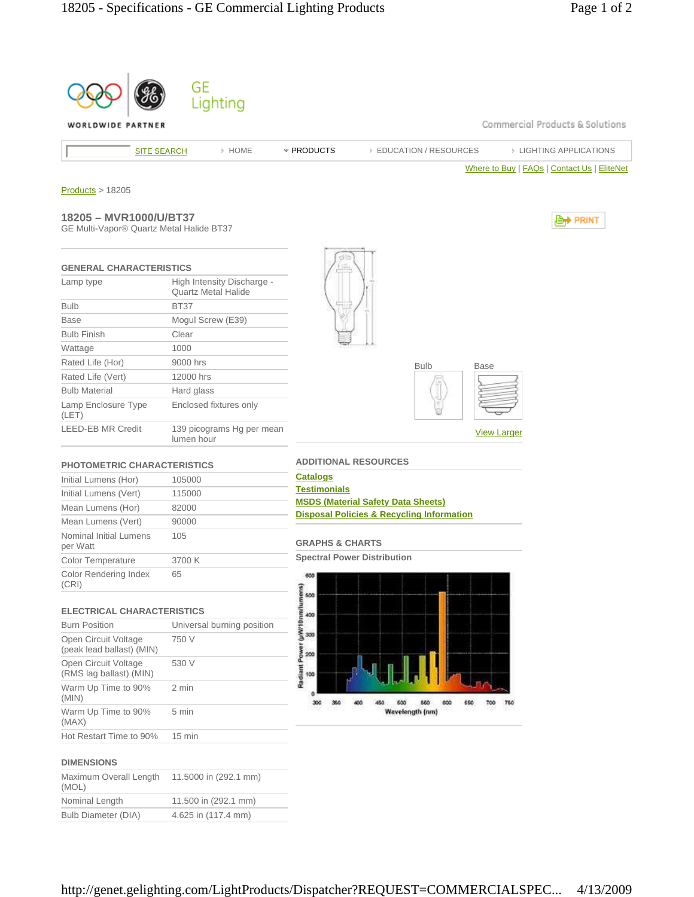